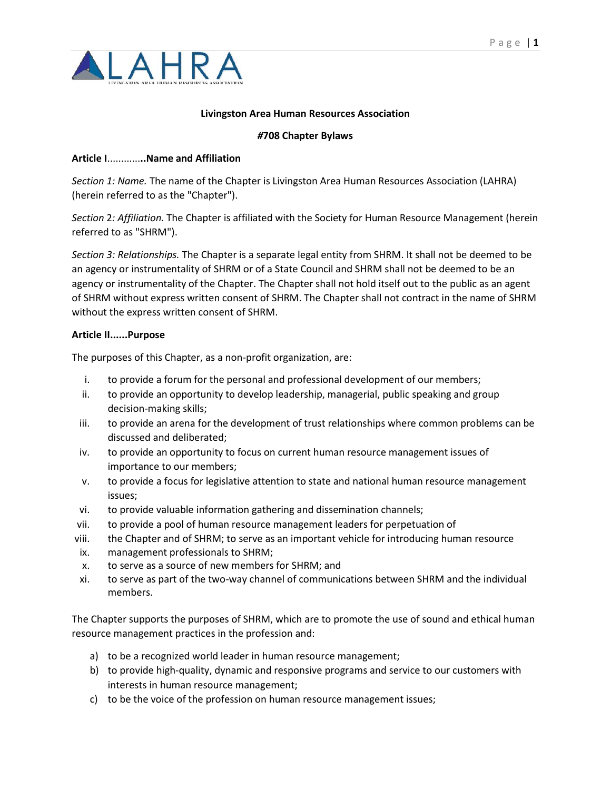

## **Livingston Area Human Resources Association**

## *#***708 Chapter Bylaws**

### **Article I**............**..Name and Affiliation**

*Section 1: Name.* The name of the Chapter is Livingston Area Human Resources Association (LAHRA) (herein referred to as the "Chapter").

*Section* 2*: Affiliation.* The Chapter is affiliated with the Society for Human Resource Management (herein referred to as "SHRM").

*Section 3: Relationships.* The Chapter is a separate legal entity from SHRM. It shall not be deemed to be an agency or instrumentality of SHRM or of a State Council and SHRM shall not be deemed to be an agency or instrumentality of the Chapter. The Chapter shall not hold itself out to the public as an agent of SHRM without express written consent of SHRM. The Chapter shall not contract in the name of SHRM without the express written consent of SHRM.

### **Article II......Purpose**

The purposes of this Chapter, as a non-profit organization, are:

- i. to provide a forum for the personal and professional development of our members;
- ii. to provide an opportunity to develop leadership, managerial, public speaking and group decision-making skills;
- iii. to provide an arena for the development of trust relationships where common problems can be discussed and deliberated;
- iv. to provide an opportunity to focus on current human resource management issues of importance to our members;
- v. to provide a focus for legislative attention to state and national human resource management issues;
- vi. to provide valuable information gathering and dissemination channels;
- vii. to provide a pool of human resource management leaders for perpetuation of
- viii. the Chapter and of SHRM; to serve as an important vehicle for introducing human resource
- ix. management professionals to SHRM;
- x. to serve as a source of new members for SHRM; and
- xi. to serve as part of the two-way channel of communications between SHRM and the individual members.

The Chapter supports the purposes of SHRM, which are to promote the use of sound and ethical human resource management practices in the profession and:

- a) to be a recognized world leader in human resource management;
- b) to provide high-quality, dynamic and responsive programs and service to our customers with interests in human resource management;
- c) to be the voice of the profession on human resource management issues;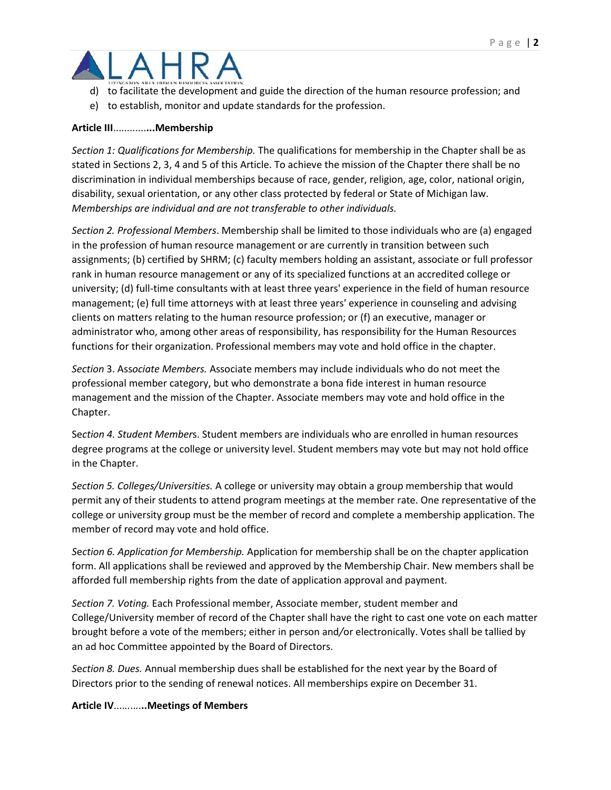

- d) to facilitate the development and guide the direction of the human resource profession; and
- e) to establish, monitor and update standards for the profession.

## **Article III**............**...Membership**

*Section 1: Qualifications for Membership.* The qualifications for membership in the Chapter shall be as stated in Sections 2, 3, 4 and 5 of this Article. To achieve the mission of the Chapter there shall be no discrimination in individual memberships because of race, gender, religion, age, color, national origin, disability, sexual orientation, or any other class protected by federal or State of Michigan law. *Memberships are individual and are not transferable to other individuals.*

*Section 2. Professional Members*. Membership shall be limited to those individuals who are (a) engaged in the profession of human resource management or are currently in transition between such assignments; (b) certified by SHRM; (c) faculty members holding an assistant, associate or full professor rank in human resource management or any of its specialized functions at an accredited college or university; (d) full-time consultants with at least three years' experience in the field of human resource management; (e) full time attorneys with at least three years' experience in counseling and advising clients on matters relating to the human resource profession; or (f) an executive, manager or administrator who, among other areas of responsibility, has responsibility for the Human Resources functions for their organization. Professional members may vote and hold office in the chapter.

*Section* 3. Ass*ociate Members.* Associate members may include individuals who do not meet the professional member category, but who demonstrate a bona fide interest in human resource management and the mission of the Chapter. Associate members may vote and hold office in the Chapter.

Se*ction 4. Student Member*s. Student members are individuals who are enrolled in human resources degree programs at the college or university level. Student members may vote but may not hold office in the Chapter.

*Section 5. Colleges/Universities.* A college or university may obtain a group membership that would permit any of their students to attend program meetings at the member rate. One representative of the college or university group must be the member of record and complete a membership application. The member of record may vote and hold office.

*S*e*ction 6. Application for Membership.* Application for membership shall be on the chapter application form. All applications shall be reviewed and approved by the Membership Chair. New members shall be afforded full membership rights from the date of application approval and payment.

*Section 7. Voting.* Each Professional member, Associate member, student member and College/University member of record of the Chapter shall have the right to cast one vote on each matter brought before a vote of the members; either in person and*/*or electronically. Votes shall be tallied by an ad hoc Committee appointed by the Board of Directors.

*S*e*ction 8. Dues.* Annual membership dues shall be established for the next year by the Board of Directors prior to the sending of renewal notices. All memberships expire on December 31.

## **Article IV**....*..*..*.*.**..Meetings of Members**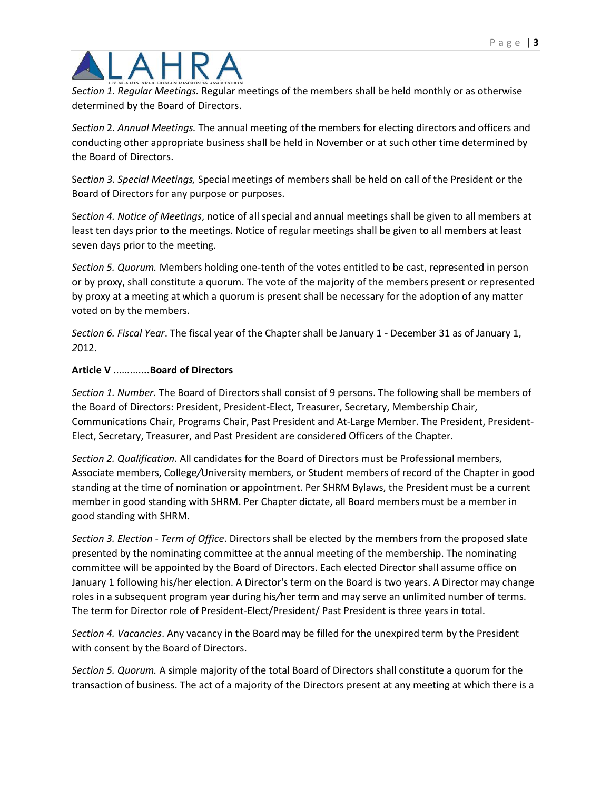*S*e*ction 1. Regular Meetings.* Regular meetings of the members shall be held monthly or as otherwise determined by the Board of Directors.

*S*e*ction* 2*. Annual Meetings.* The annual meeting of the members for electing directors and officers and conducting other appropriate business shall be held in November or at such other time determined by the Board of Directors.

Se*ction 3. Special Meetings,* Special meetings of members shall be held on call of the President or the Board of Directors for any purpose or purposes.

S*ection 4. Notice of Meetings*, notice of all special and annual meetings shall be given to all members at least ten days prior to the meetings. Notice of regular meetings shall be given to all members at least seven days prior to the meeting.

*Section 5. Quorum.* Members holding one-tenth of the votes entitled to be cast, repr**e**sented in person or by proxy, shall constitute a quorum. The vote of the majority of the members present or represented by proxy at a meeting at which a quorum is present shall be necessary for the adoption of any matter voted on by the members.

*Section 6. Fiscal Y*e*ar*. The fiscal year of the Chapter shall be January 1 - December 31 as of January 1, *2*012.

## **Article V .**....*.*....**...Board of Directors**

*Section 1. Number*. The Board of Directors shall consist of 9 persons. The following shall be members of the Board of Directors: President, President-Elect, Treasurer, Secretary, Membership Chair, Communications Chair, Programs Chair, Past President and At-Large Member. The President, President-Elect, Secretary, Treasurer, and Past President are considered Officers of the Chapter.

*Section 2. Qualification.* All candidates for the Board of Directors must be Professional members, Associate members, College*/*University members, or Student members of record of the Chapter in good standing at the time of nomination or appointment. Per SHRM Bylaws, the President must be a current member in good standing with SHRM. Per Chapter dictate, all Board members must be a member in good standing with SHRM.

*Section 3. Election - Term of Office*. Directors shall be elected by the members from the proposed slate presented by the nominating committee at the annual meeting of the membership. The nominating committee will be appointed by the Board of Directors. Each elected Director shall assume office on January 1 following his/her election. A Director's term on the Board is two years. A Director may change roles in a subsequent program year during his*/*her term and may serve an unlimited number of terms. The term for Director role of President-Elect/President/ Past President is three years in total.

*Section 4. Vacancies*. Any vacancy in the Board may be filled for the unexpired term by the President with consent by the Board of Directors.

*Section 5. Quorum.* A simple majority of the total Board of Directors shall constitute a quorum for the transaction of business. The act of a majority of the Directors present at any meeting at which there is a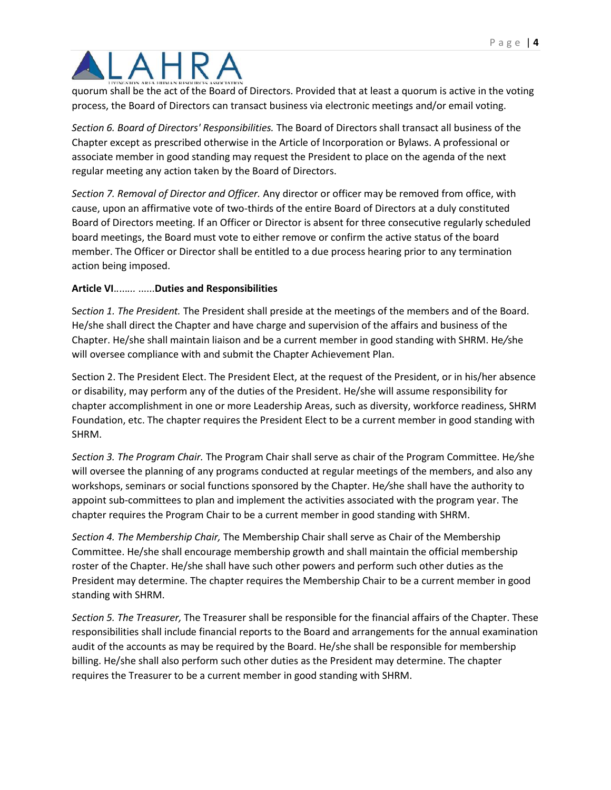quorum shall be the act of the Board of Directors. Provided that at least a quorum is active in the voting process, the Board of Directors can transact business via electronic meetings and/or email voting.

*Section 6. Board of Directors' Responsibilities.* The Board of Directors shall transact all business of the Chapter except as prescribed otherwise in the Article of Incorporation or Bylaws. A professional or associate member in good standing may request the President to place on the agenda of the next regular meeting any action taken by the Board of Directors.

*Section 7. Removal of Director and Officer.* Any director or officer may be removed from office, with cause, upon an affirmative vote of two-thirds of the entire Board of Directors at a duly constituted Board of Directors meeting. If an Officer or Director is absent for three consecutive regularly scheduled board meetings, the Board must vote to either remove or confirm the active status of the board member. The Officer or Director shall be entitled to a due process hearing prior to any termination action being imposed.

## **Article VI**.*.*...*...* ......**Duties and Responsibilities**

S*ection 1. The President.* The President shall preside at the meetings of the members and of the Board. He/she shall direct the Chapter and have charge and supervision of the affairs and business of the Chapter. He/she shall maintain liaison and be a current member in good standing with SHRM. He*/*she will oversee compliance with and submit the Chapter Achievement Plan.

Section 2. The President Elect. The President Elect, at the request of the President, or in his/her absence or disability, may perform any of the duties of the President. He/she will assume responsibility for chapter accomplishment in one or more Leadership Areas, such as diversity, workforce readiness, SHRM Foundation, etc. The chapter requires the President Elect to be a current member in good standing with SHRM.

*Section 3. The Program Chair.* The Program Chair shall serve as chair of the Program Committee. He*/*she will oversee the planning of any programs conducted at regular meetings of the members, and also any workshops, seminars or social functions sponsored by the Chapter. He*/*she shall have the authority to appoint sub-committees to plan and implement the activities associated with the program year. The chapter requires the Program Chair to be a current member in good standing with SHRM.

*Section 4. The Membership Chair,* The Membership Chair shall serve as Chair of the Membership Committee. He/she shall encourage membership growth and shall maintain the official membership roster of the Chapter. He/she shall have such other powers and perform such other duties as the President may determine. The chapter requires the Membership Chair to be a current member in good standing with SHRM.

*Section 5. The Treasurer,* The Treasurer shall be responsible for the financial affairs of the Chapter. These responsibilities shall include financial reports to the Board and arrangements for the annual examination audit of the accounts as may be required by the Board. He/she shall be responsible for membership billing. He/she shall also perform such other duties as the President may determine. The chapter requires the Treasurer to be a current member in good standing with SHRM.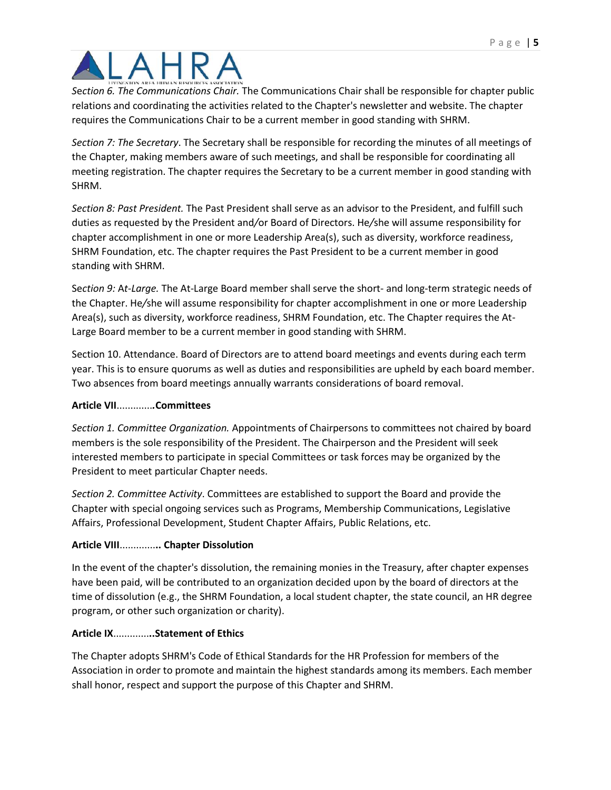*S*e*ction 6. The Communications Chair.* The Communications Chair shall be responsible for chapter public relations and coordinating the activities related to the Chapter's newsletter and website. The chapter requires the Communications Chair to be a current member in good standing with SHRM.

*Section 7: The S*e*cretary*. The Secretary shall be responsible for recording the minutes of all meetings of the Chapter, making members aware of such meetings, and shall be responsible for coordinating all meeting registration. The chapter requires the Secretary to be a current member in good standing with SHRM.

*Section 8: Past President.* The Past President shall serve as an advisor to the President, and fulfill such duties as requested by the President and*/*or Board of Directors. He*/*she will assume responsibility for chapter accomplishment in one or more Leadership Area(s), such as diversity, workforce readiness, SHRM Foundation, etc. The chapter requires the Past President to be a current member in good standing with SHRM.

Se*ction 9:* A*t-Large.* The At-Large Board member shall serve the short- and long-term strategic needs of the Chapter. He*/*she will assume responsibility for chapter accomplishment in one or more Leadership Area(s), such as diversity, workforce readiness, SHRM Foundation, etc. The Chapter requires the At-Large Board member to be a current member in good standing with SHRM.

Section 10. Attendance. Board of Directors are to attend board meetings and events during each term year. This is to ensure quorums as well as duties and responsibilities are upheld by each board member. Two absences from board meetings annually warrants considerations of board removal.

## **Article VII**.............*.***Committees**

*Section 1. Committee Organization.* Appointments of Chairpersons to committees not chaired by board members is the sole responsibility of the President. The Chairperson and the President will seek interested members to participate in special Committees or task forces may be organized by the President to meet particular Chapter needs.

*Section 2. Committee* A*ctivity*. Committees are established to support the Board and provide the Chapter with special ongoing services such as Programs, Membership Communications, Legislative Affairs, Professional Development, Student Chapter Affairs, Public Relations, etc.

# **Article VIII**.............**.. Chapter Dissolution**

In the event of the chapter's dissolution, the remaining monies in the Treasury, after chapter expenses have been paid, will be contributed to an organization decided upon by the board of directors at the time of dissolution (e.g., the SHRM Foundation, a local student chapter, the state council, an HR degree program, or other such organization or charity).

## **Article IX**.............**..Statement of Ethics**

The Chapter adopts SHRM's Code of Ethical Standards for the HR Profession for members of the Association in order to promote and maintain the highest standards among its members. Each member shall honor, respect and support the purpose of this Chapter and SHRM.